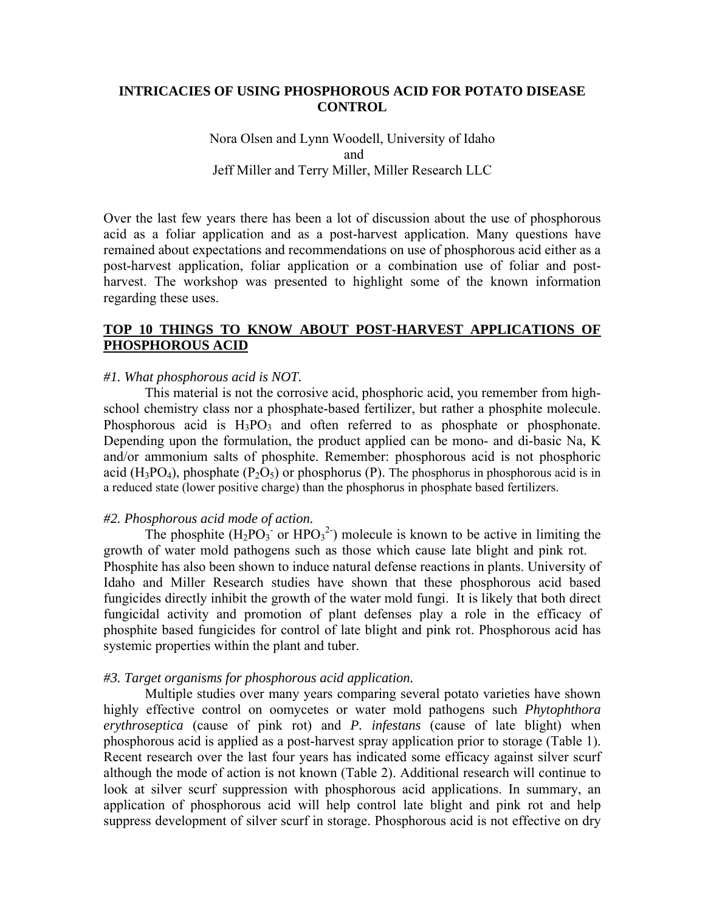### **INTRICACIES OF USING PHOSPHOROUS ACID FOR POTATO DISEASE CONTROL**

## Nora Olsen and Lynn Woodell, University of Idaho and Jeff Miller and Terry Miller, Miller Research LLC

Over the last few years there has been a lot of discussion about the use of phosphorous acid as a foliar application and as a post-harvest application. Many questions have remained about expectations and recommendations on use of phosphorous acid either as a post-harvest application, foliar application or a combination use of foliar and postharvest. The workshop was presented to highlight some of the known information regarding these uses.

## **TOP 10 THINGS TO KNOW ABOUT POST-HARVEST APPLICATIONS OF PHOSPHOROUS ACID**

#### *#1. What phosphorous acid is NOT.*

 This material is not the corrosive acid, phosphoric acid, you remember from highschool chemistry class nor a phosphate-based fertilizer, but rather a phosphite molecule. Phosphorous acid is  $H_3PO_3$  and often referred to as phosphate or phosphonate. Depending upon the formulation, the product applied can be mono- and di-basic Na, K and/or ammonium salts of phosphite. Remember: phosphorous acid is not phosphoric acid (H<sub>3</sub>PO<sub>4</sub>), phosphate (P<sub>2</sub>O<sub>5</sub>) or phosphorus (P). The phosphorus in phosphorous acid is in a reduced state (lower positive charge) than the phosphorus in phosphate based fertilizers.

#### *#2. Phosphorous acid mode of action.*

The phosphite  $(H_2PO_3^{\text{-}})$  or  $HPO_3^{\text{-}})$  molecule is known to be active in limiting the growth of water mold pathogens such as those which cause late blight and pink rot. Phosphite has also been shown to induce natural defense reactions in plants. University of Idaho and Miller Research studies have shown that these phosphorous acid based fungicides directly inhibit the growth of the water mold fungi. It is likely that both direct fungicidal activity and promotion of plant defenses play a role in the efficacy of phosphite based fungicides for control of late blight and pink rot. Phosphorous acid has systemic properties within the plant and tuber.

#### *#3. Target organisms for phosphorous acid application.*

 Multiple studies over many years comparing several potato varieties have shown highly effective control on oomycetes or water mold pathogens such *Phytophthora erythroseptica* (cause of pink rot) and *P. infestans* (cause of late blight) when phosphorous acid is applied as a post-harvest spray application prior to storage (Table 1). Recent research over the last four years has indicated some efficacy against silver scurf although the mode of action is not known (Table 2). Additional research will continue to look at silver scurf suppression with phosphorous acid applications. In summary, an application of phosphorous acid will help control late blight and pink rot and help suppress development of silver scurf in storage. Phosphorous acid is not effective on dry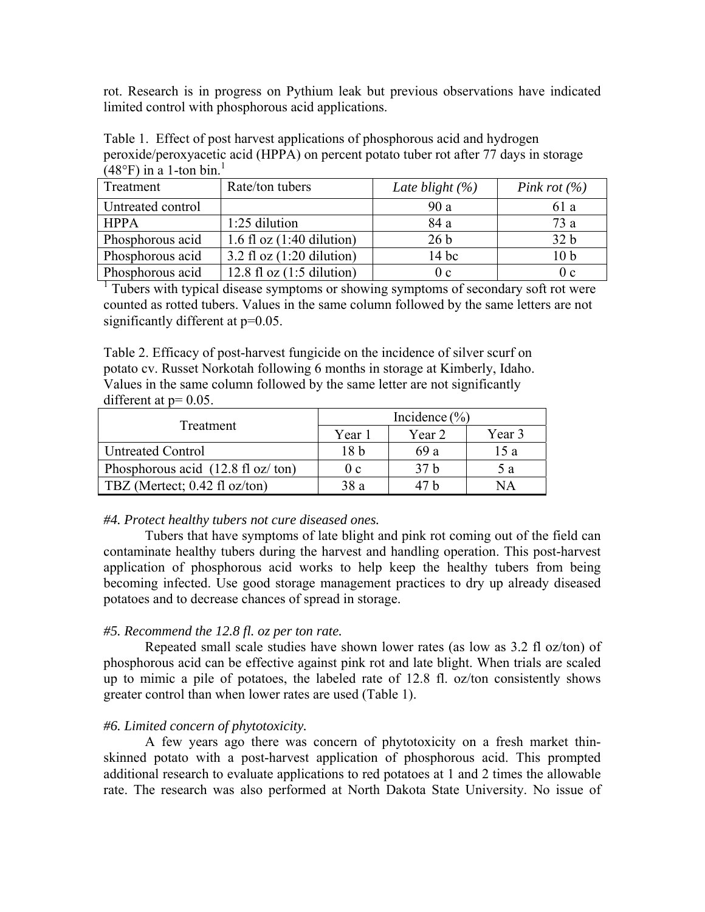rot. Research is in progress on Pythium leak but previous observations have indicated limited control with phosphorous acid applications.

Table 1. Effect of post harvest applications of phosphorous acid and hydrogen peroxide/peroxyacetic acid (HPPA) on percent potato tuber rot after 77 days in storage  $(48^{\circ}F)$  in a 1-ton bin.<sup>1</sup>

| Treatment         | Rate/ton tubers             | Late blight $(\%)$ | Pink rot $(\% )$ |
|-------------------|-----------------------------|--------------------|------------------|
| Untreated control |                             | 90a                | 61 a             |
| <b>HPPA</b>       | $1:25$ dilution             | 84 a               | 73a              |
| Phosphorous acid  | 1.6 fl oz $(1:40$ dilution) | 26 <sub>b</sub>    | 32 <sub>b</sub>  |
| Phosphorous acid  | 3.2 fl oz $(1:20$ dilution) | $14$ bc            | 10 <sub>b</sub>  |
| Phosphorous acid  | 12.8 fl oz $(1:5$ dilution) | 0c                 | 0c               |

<sup>1</sup> Tubers with typical disease symptoms or showing symptoms of secondary soft rot were counted as rotted tubers. Values in the same column followed by the same letters are not significantly different at  $p=0.05$ .

Table 2. Efficacy of post-harvest fungicide on the incidence of silver scurf on potato cv. Russet Norkotah following 6 months in storage at Kimberly, Idaho. Values in the same column followed by the same letter are not significantly different at  $p=0.05$ .

| <b>Treatment</b>                                   | Incidence $(\% )$ |        |        |  |  |  |  |
|----------------------------------------------------|-------------------|--------|--------|--|--|--|--|
|                                                    | Year 1            | Year 2 | Year 3 |  |  |  |  |
| Untreated Control                                  | 18 <sub>b</sub>   | 69 a   | 15 a   |  |  |  |  |
| Phosphorous acid $(12.8 \text{ fl oz}/\text{ton})$ | 0c                | 37 h   | 5 a    |  |  |  |  |
| TBZ (Mertect; $0.42$ fl oz/ton)                    | 38a               | 47 h   | NА     |  |  |  |  |

#### *#4. Protect healthy tubers not cure diseased ones.*

Tubers that have symptoms of late blight and pink rot coming out of the field can contaminate healthy tubers during the harvest and handling operation. This post-harvest application of phosphorous acid works to help keep the healthy tubers from being becoming infected. Use good storage management practices to dry up already diseased potatoes and to decrease chances of spread in storage.

#### *#5. Recommend the 12.8 fl. oz per ton rate.*

Repeated small scale studies have shown lower rates (as low as 3.2 fl oz/ton) of phosphorous acid can be effective against pink rot and late blight. When trials are scaled up to mimic a pile of potatoes, the labeled rate of 12.8 fl. oz/ton consistently shows greater control than when lower rates are used (Table 1).

#### *#6. Limited concern of phytotoxicity.*

A few years ago there was concern of phytotoxicity on a fresh market thinskinned potato with a post-harvest application of phosphorous acid. This prompted additional research to evaluate applications to red potatoes at 1 and 2 times the allowable rate. The research was also performed at North Dakota State University. No issue of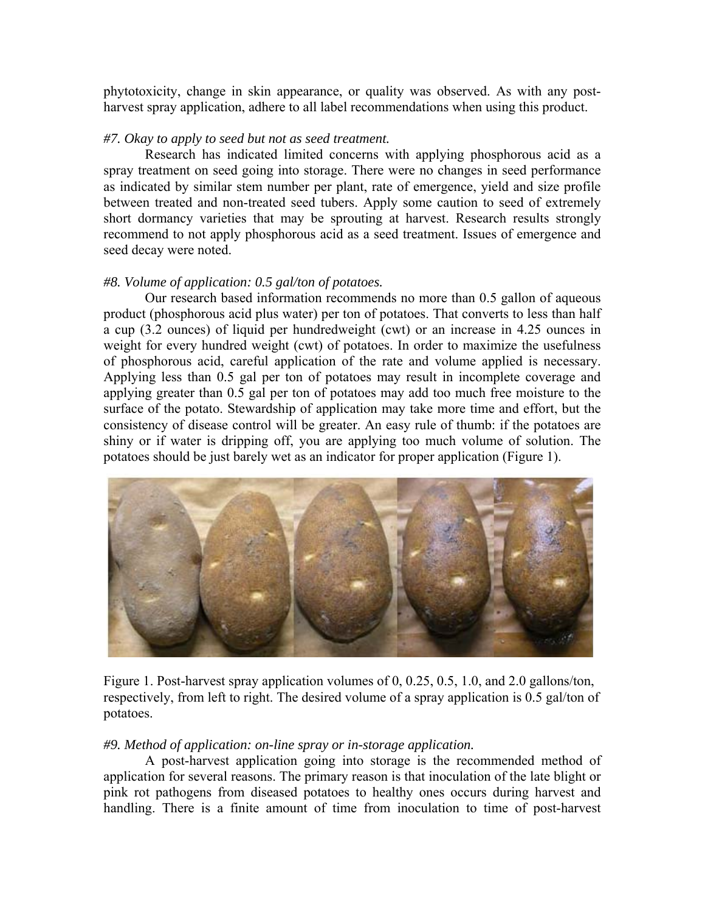phytotoxicity, change in skin appearance, or quality was observed. As with any postharvest spray application, adhere to all label recommendations when using this product.

#### *#7. Okay to apply to seed but not as seed treatment.*

 Research has indicated limited concerns with applying phosphorous acid as a spray treatment on seed going into storage. There were no changes in seed performance as indicated by similar stem number per plant, rate of emergence, yield and size profile between treated and non-treated seed tubers. Apply some caution to seed of extremely short dormancy varieties that may be sprouting at harvest. Research results strongly recommend to not apply phosphorous acid as a seed treatment. Issues of emergence and seed decay were noted.

#### *#8. Volume of application: 0.5 gal/ton of potatoes.*

Our research based information recommends no more than 0.5 gallon of aqueous product (phosphorous acid plus water) per ton of potatoes. That converts to less than half a cup (3.2 ounces) of liquid per hundredweight (cwt) or an increase in 4.25 ounces in weight for every hundred weight (cwt) of potatoes. In order to maximize the usefulness of phosphorous acid, careful application of the rate and volume applied is necessary. Applying less than 0.5 gal per ton of potatoes may result in incomplete coverage and applying greater than 0.5 gal per ton of potatoes may add too much free moisture to the surface of the potato. Stewardship of application may take more time and effort, but the consistency of disease control will be greater. An easy rule of thumb: if the potatoes are shiny or if water is dripping off, you are applying too much volume of solution. The potatoes should be just barely wet as an indicator for proper application (Figure 1).



Figure 1. Post-harvest spray application volumes of 0, 0.25, 0.5, 1.0, and 2.0 gallons/ton, respectively, from left to right. The desired volume of a spray application is 0.5 gal/ton of potatoes.

#### *#9. Method of application: on-line spray or in-storage application.*

A post-harvest application going into storage is the recommended method of application for several reasons. The primary reason is that inoculation of the late blight or pink rot pathogens from diseased potatoes to healthy ones occurs during harvest and handling. There is a finite amount of time from inoculation to time of post-harvest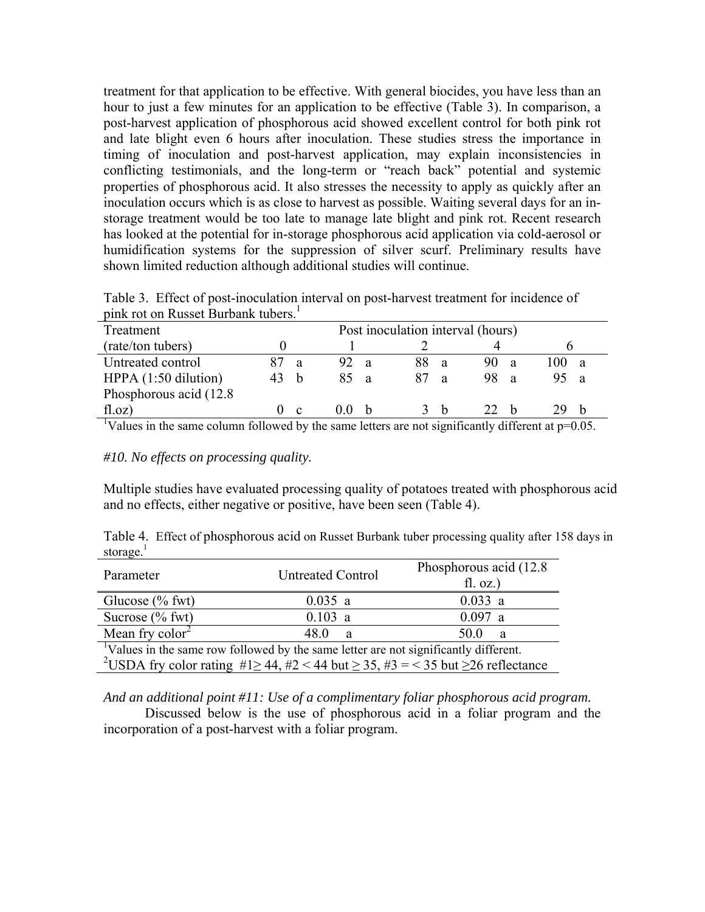treatment for that application to be effective. With general biocides, you have less than an hour to just a few minutes for an application to be effective (Table 3). In comparison, a post-harvest application of phosphorous acid showed excellent control for both pink rot and late blight even 6 hours after inoculation. These studies stress the importance in timing of inoculation and post-harvest application, may explain inconsistencies in conflicting testimonials, and the long-term or "reach back" potential and systemic properties of phosphorous acid. It also stresses the necessity to apply as quickly after an inoculation occurs which is as close to harvest as possible. Waiting several days for an instorage treatment would be too late to manage late blight and pink rot. Recent research has looked at the potential for in-storage phosphorous acid application via cold-aerosol or humidification systems for the suppression of silver scurf. Preliminary results have shown limited reduction although additional studies will continue.

Table 3. Effect of post-inoculation interval on post-harvest treatment for incidence of pink rot on Russet Burbank tubers.<sup>1</sup>

| Treatment               |   |     |                |     |              | Post inoculation interval (hours) |      |              |  |
|-------------------------|---|-----|----------------|-----|--------------|-----------------------------------|------|--------------|--|
| (rate/ton tubers)       |   |     |                |     |              |                                   |      |              |  |
| Untreated control       | a | 92. | $\overline{a}$ | 88. | -a           | 90<br>Я                           | 100. | $\mathbf{a}$ |  |
| HPPA $(1:50$ dilution)  | h | 85  | $\overline{a}$ |     | <sub>2</sub> | 98<br>- a                         | 95 a |              |  |
| Phosphorous acid (12.8) |   |     |                |     |              |                                   |      |              |  |
| f(1.0z)                 | C | (1) | - h            |     |              | 77 L                              |      |              |  |

<sup>1</sup>Values in the same column followed by the same letters are not significantly different at  $p=0.05$ .

*#10. No effects on processing quality.* 

Multiple studies have evaluated processing quality of potatoes treated with phosphorous acid and no effects, either negative or positive, have been seen (Table 4).

Table 4. Effect of phosphorous acid on Russet Burbank tuber processing quality after 158 days in storage. $<sup>1</sup>$ </sup>

| Parameter                                                                                                       | <b>Untreated Control</b> | Phosphorous acid (12.8)<br>fl. oz.) |
|-----------------------------------------------------------------------------------------------------------------|--------------------------|-------------------------------------|
| Glucose $%$ fwt)                                                                                                | 0.035 a                  | $0.033$ a                           |
| Sucrose $(\%$ fwt)                                                                                              | 0.103 a                  | $0.097$ a                           |
| Mean fry $\text{color}^2$                                                                                       | 48 O<br>a                | 50 Q<br>a                           |
| <sup>1</sup> Values in the same row followed by the same letter are not significantly different.                |                          |                                     |
| <sup>2</sup> USDA fry color rating $\#1 \ge 44$ , $\#2 < 44$ but $\ge 35$ , $\#3 = 35$ but $\ge 26$ reflectance |                          |                                     |

*And an additional point #11: Use of a complimentary foliar phosphorous acid program.* 

 Discussed below is the use of phosphorous acid in a foliar program and the incorporation of a post-harvest with a foliar program.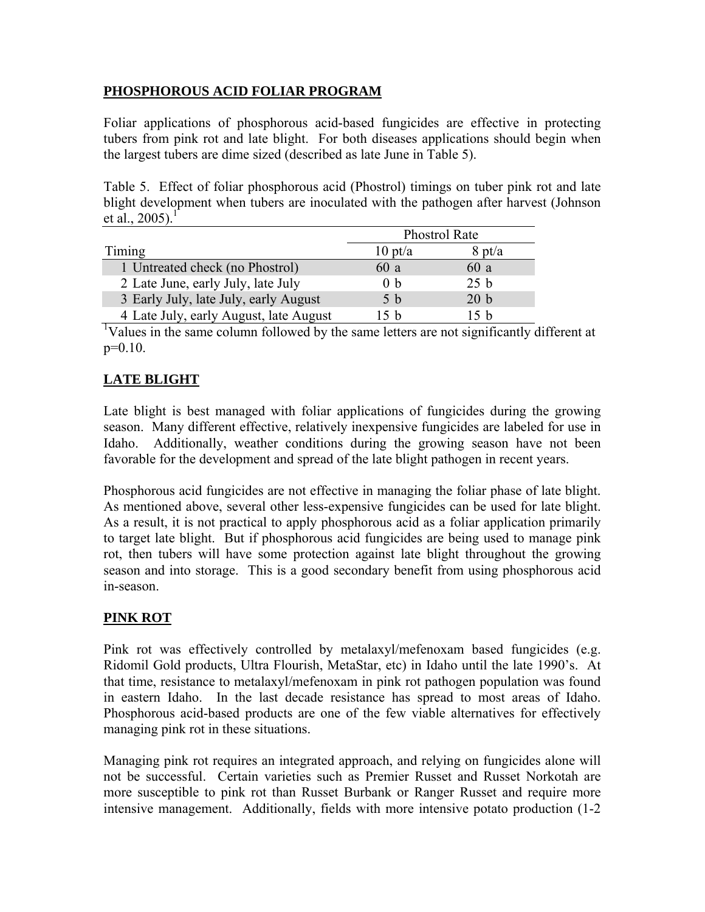## **PHOSPHOROUS ACID FOLIAR PROGRAM**

Foliar applications of phosphorous acid-based fungicides are effective in protecting tubers from pink rot and late blight. For both diseases applications should begin when the largest tubers are dime sized (described as late June in Table 5).

Table 5. Effect of foliar phosphorous acid (Phostrol) timings on tuber pink rot and late blight development when tubers are inoculated with the pathogen after harvest (Johnson et al.,  $2005$ ).<sup>1</sup>

|                                        | <b>Phostrol Rate</b> |                 |  |  |  |
|----------------------------------------|----------------------|-----------------|--|--|--|
| Timing                                 | $10 \text{ pt/a}$    | $8$ pt/a        |  |  |  |
| 1 Untreated check (no Phostrol)        | 60 a                 | 60 a            |  |  |  |
| 2 Late June, early July, late July     | 0 <sub>b</sub>       | 25 <sub>b</sub> |  |  |  |
| 3 Early July, late July, early August  | 5 <sub>b</sub>       | 20 <sub>b</sub> |  |  |  |
| 4 Late July, early August, late August | 15 <sub>h</sub>      | 15h             |  |  |  |

1 Values in the same column followed by the same letters are not significantly different at p=0.10.

# **LATE BLIGHT**

Late blight is best managed with foliar applications of fungicides during the growing season. Many different effective, relatively inexpensive fungicides are labeled for use in Idaho. Additionally, weather conditions during the growing season have not been favorable for the development and spread of the late blight pathogen in recent years.

Phosphorous acid fungicides are not effective in managing the foliar phase of late blight. As mentioned above, several other less-expensive fungicides can be used for late blight. As a result, it is not practical to apply phosphorous acid as a foliar application primarily to target late blight. But if phosphorous acid fungicides are being used to manage pink rot, then tubers will have some protection against late blight throughout the growing season and into storage. This is a good secondary benefit from using phosphorous acid in-season.

# **PINK ROT**

Pink rot was effectively controlled by metalaxyl/mefenoxam based fungicides (e.g. Ridomil Gold products, Ultra Flourish, MetaStar, etc) in Idaho until the late 1990's. At that time, resistance to metalaxyl/mefenoxam in pink rot pathogen population was found in eastern Idaho. In the last decade resistance has spread to most areas of Idaho. Phosphorous acid-based products are one of the few viable alternatives for effectively managing pink rot in these situations.

Managing pink rot requires an integrated approach, and relying on fungicides alone will not be successful. Certain varieties such as Premier Russet and Russet Norkotah are more susceptible to pink rot than Russet Burbank or Ranger Russet and require more intensive management. Additionally, fields with more intensive potato production (1-2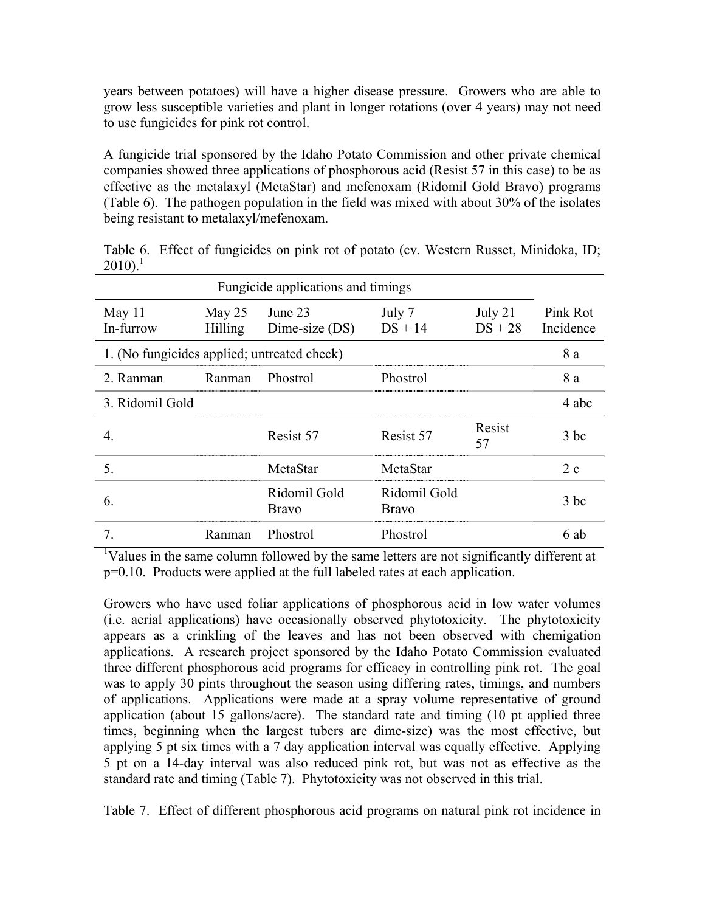years between potatoes) will have a higher disease pressure. Growers who are able to grow less susceptible varieties and plant in longer rotations (over 4 years) may not need to use fungicides for pink rot control.

A fungicide trial sponsored by the Idaho Potato Commission and other private chemical companies showed three applications of phosphorous acid (Resist 57 in this case) to be as effective as the metalaxyl (MetaStar) and mefenoxam (Ridomil Gold Bravo) programs (Table 6). The pathogen population in the field was mixed with about 30% of the isolates being resistant to metalaxyl/mefenoxam.

| .                                           |                          |                              |                              |              |       |  |  |  |
|---------------------------------------------|--------------------------|------------------------------|------------------------------|--------------|-------|--|--|--|
| Fungicide applications and timings          |                          |                              |                              |              |       |  |  |  |
| May $11$<br>In-furrow                       | May 25<br><b>Hilling</b> | June 23<br>Dime-size (DS)    | Pink Rot<br>Incidence        |              |       |  |  |  |
| 1. (No fungicides applied; untreated check) |                          |                              |                              |              |       |  |  |  |
| 2. Ranman                                   | Ranman                   | Phostrol                     | Phostrol                     |              | 8 a   |  |  |  |
| 3. Ridomil Gold                             |                          |                              |                              |              | 4 abc |  |  |  |
| 4.                                          |                          | Resist 57                    | Resist 57                    | Resist<br>57 | 3 bc  |  |  |  |
| 5.                                          |                          | MetaStar                     | MetaStar                     |              | 2c    |  |  |  |
| 6.                                          |                          | Ridomil Gold<br><b>Bravo</b> | Ridomil Gold<br><b>Bravo</b> |              | 3 bc  |  |  |  |
| 7.                                          | Ranman                   | Phostrol                     | Phostrol                     |              | 6 ab  |  |  |  |

Table 6. Effect of fungicides on pink rot of potato (cv. Western Russet, Minidoka, ID;  $2010$ <sup>1</sup>

<sup>1</sup>Values in the same column followed by the same letters are not significantly different at p=0.10. Products were applied at the full labeled rates at each application.

Growers who have used foliar applications of phosphorous acid in low water volumes (i.e. aerial applications) have occasionally observed phytotoxicity. The phytotoxicity appears as a crinkling of the leaves and has not been observed with chemigation applications. A research project sponsored by the Idaho Potato Commission evaluated three different phosphorous acid programs for efficacy in controlling pink rot. The goal was to apply 30 pints throughout the season using differing rates, timings, and numbers of applications. Applications were made at a spray volume representative of ground application (about 15 gallons/acre). The standard rate and timing (10 pt applied three times, beginning when the largest tubers are dime-size) was the most effective, but applying 5 pt six times with a 7 day application interval was equally effective. Applying 5 pt on a 14-day interval was also reduced pink rot, but was not as effective as the standard rate and timing (Table 7). Phytotoxicity was not observed in this trial.

Table 7. Effect of different phosphorous acid programs on natural pink rot incidence in